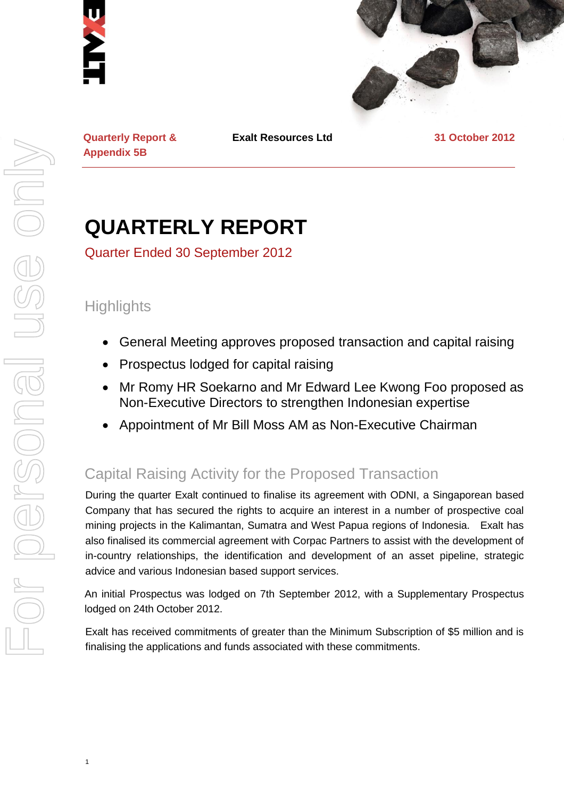



**Quarterly Report & Appendix 5B**

**Exalt Resources Ltd 31 October 2012**

# **QUARTERLY REPORT**

Quarter Ended 30 September 2012

## **Highlights**

1

- General Meeting approves proposed transaction and capital raising
- Prospectus lodged for capital raising
- Mr Romy HR Soekarno and Mr Edward Lee Kwong Foo proposed as Non-Executive Directors to strengthen Indonesian expertise
- Appointment of Mr Bill Moss AM as Non-Executive Chairman

## Capital Raising Activity for the Proposed Transaction

During the quarter Exalt continued to finalise its agreement with ODNI, a Singaporean based Company that has secured the rights to acquire an interest in a number of prospective coal mining projects in the Kalimantan, Sumatra and West Papua regions of Indonesia. Exalt has also finalised its commercial agreement with Corpac Partners to assist with the development of in-country relationships, the identification and development of an asset pipeline, strategic advice and various Indonesian based support services.

An initial Prospectus was lodged on 7th September 2012, with a Supplementary Prospectus lodged on 24th October 2012.

Exalt has received commitments of greater than the Minimum Subscription of \$5 million and is finalising the applications and funds associated with these commitments.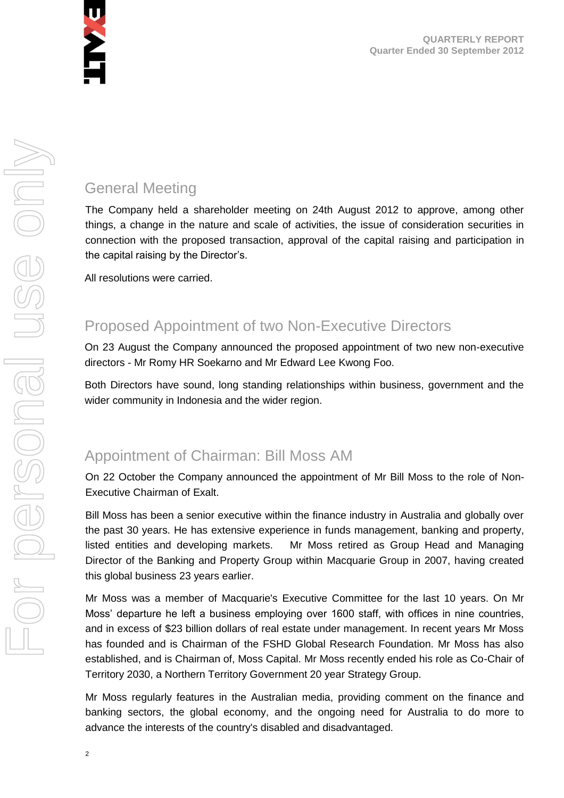

## General Meeting

The Company held a shareholder meeting on 24th August 2012 to approve, among other things, a change in the nature and scale of activities, the issue of consideration securities in connection with the proposed transaction, approval of the capital raising and participation in the capital raising by the Director's.

All resolutions were carried.

## Proposed Appointment of two Non-Executive Directors

On 23 August the Company announced the proposed appointment of two new non-executive directors - Mr Romy HR Soekarno and Mr Edward Lee Kwong Foo.

Both Directors have sound, long standing relationships within business, government and the wider community in Indonesia and the wider region.

## Appointment of Chairman: Bill Moss AM

On 22 October the Company announced the appointment of Mr Bill Moss to the role of Non-Executive Chairman of Exalt.

Bill Moss has been a senior executive within the finance industry in Australia and globally over the past 30 years. He has extensive experience in funds management, banking and property, listed entities and developing markets. Mr Moss retired as Group Head and Managing Director of the Banking and Property Group within Macquarie Group in 2007, having created this global business 23 years earlier.

Mr Moss was a member of Macquarie's Executive Committee for the last 10 years. On Mr Moss' departure he left a business employing over 1600 staff, with offices in nine countries, and in excess of \$23 billion dollars of real estate under management. In recent years Mr Moss has founded and is Chairman of the FSHD Global Research Foundation. Mr Moss has also established, and is Chairman of, Moss Capital. Mr Moss recently ended his role as Co-Chair of Territory 2030, a Northern Territory Government 20 year Strategy Group.

Mr Moss regularly features in the Australian media, providing comment on the finance and banking sectors, the global economy, and the ongoing need for Australia to do more to advance the interests of the country's disabled and disadvantaged.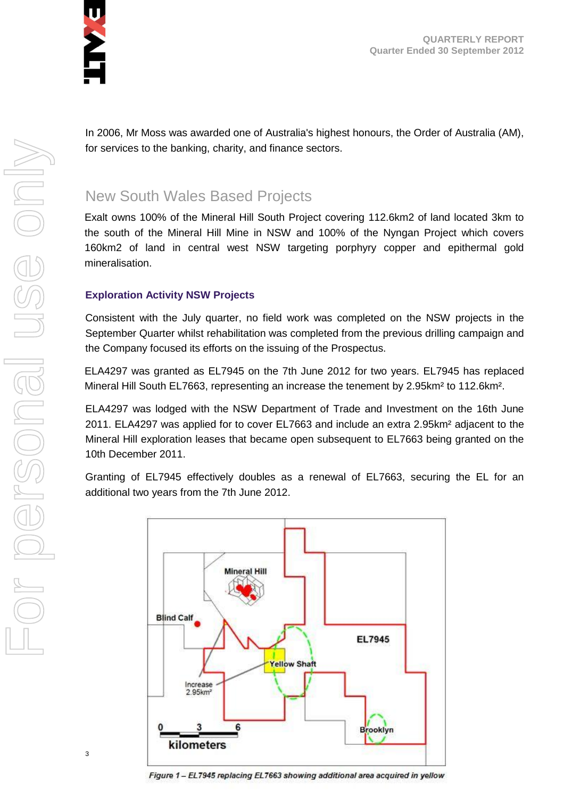

**QUARTERLY REPORT Quarter Ended 30 September 2012**

In 2006, Mr Moss was awarded one of Australia's highest honours, the Order of Australia (AM), for services to the banking, charity, and finance sectors.

## New South Wales Based Projects

Exalt owns 100% of the Mineral Hill South Project covering 112.6km2 of land located 3km to the south of the Mineral Hill Mine in NSW and 100% of the Nyngan Project which covers 160km2 of land in central west NSW targeting porphyry copper and epithermal gold mineralisation.

#### **Exploration Activity NSW Projects**

Consistent with the July quarter, no field work was completed on the NSW projects in the September Quarter whilst rehabilitation was completed from the previous drilling campaign and the Company focused its efforts on the issuing of the Prospectus.

ELA4297 was granted as EL7945 on the 7th June 2012 for two years. EL7945 has replaced Mineral Hill South EL7663, representing an increase the tenement by 2.95km² to 112.6km².

ELA4297 was lodged with the NSW Department of Trade and Investment on the 16th June 2011. ELA4297 was applied for to cover EL7663 and include an extra 2.95km² adjacent to the Mineral Hill exploration leases that became open subsequent to EL7663 being granted on the 10th December 2011.

Granting of EL7945 effectively doubles as a renewal of EL7663, securing the EL for an additional two years from the 7th June 2012.

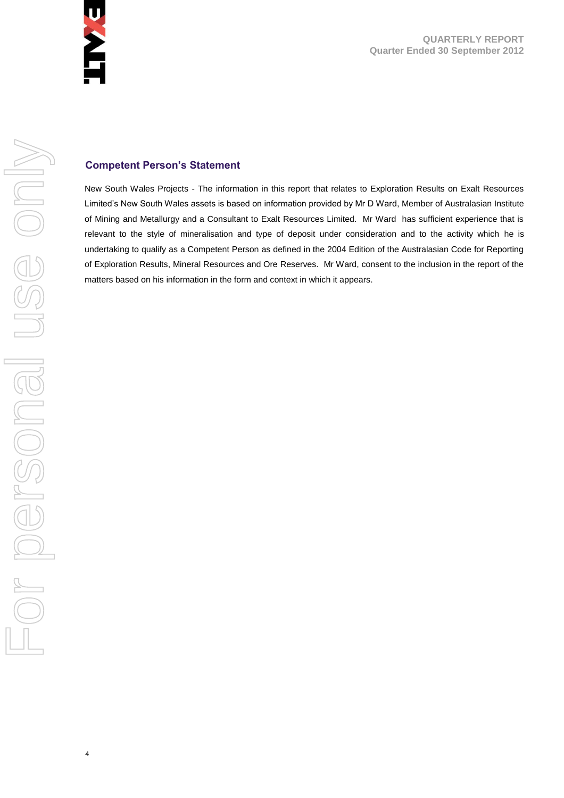

**QUARTERLY REPORT Quarter Ended 30 September 2012**

#### **Competent Person's Statement**

New South Wales Projects - The information in this report that relates to Exploration Results on Exalt Resources Limited's New South Wales assets is based on information provided by Mr D Ward, Member of Australasian Institute of Mining and Metallurgy and a Consultant to Exalt Resources Limited. Mr Ward has sufficient experience that is relevant to the style of mineralisation and type of deposit under consideration and to the activity which he is undertaking to qualify as a Competent Person as defined in the 2004 Edition of the Australasian Code for Reporting of Exploration Results, Mineral Resources and Ore Reserves. Mr Ward, consent to the inclusion in the report of the matters based on his information in the form and context in which it appears.

4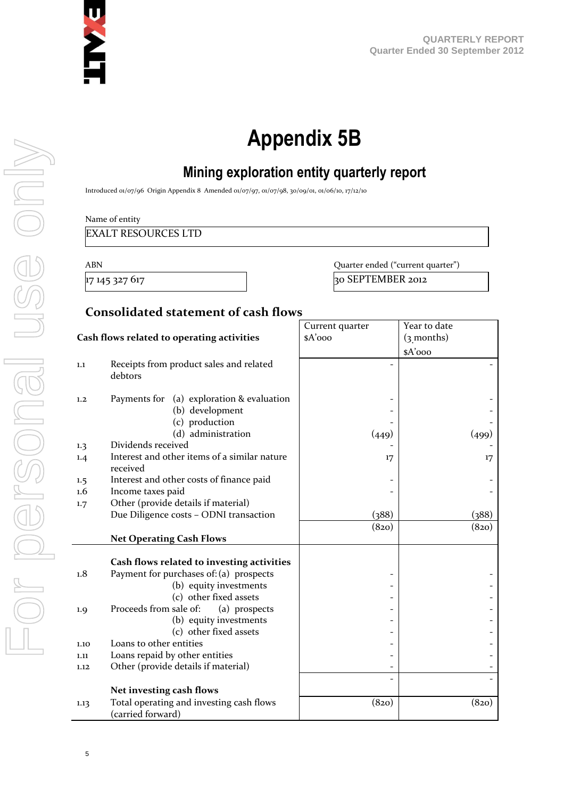

# **Appendix 5B**

## **Mining exploration entity quarterly report**

Introduced 01/07/96 Origin Appendix 8 Amended 01/07/97, 01/07/98, 30/09/01, 01/06/10, 17/12/10

Name of entity

EXALT RESOURCES LTD

ABN Quarter ended ("current quarter") 17 145 327 617 30 30 SEPTEMBER 2012

#### **Consolidated statement of cash flows**

|                                            |                                                               | Current quarter | Year to date |
|--------------------------------------------|---------------------------------------------------------------|-----------------|--------------|
| Cash flows related to operating activities |                                                               | \$A'ooo         | $(3$ months) |
|                                            |                                                               |                 | \$A'ooo      |
| 1.1                                        | Receipts from product sales and related<br>debtors            |                 |              |
| 1,2                                        | Payments for (a) exploration & evaluation<br>(b) development  |                 |              |
|                                            | (c) production<br>(d) administration                          |                 |              |
| 1.3                                        | Dividends received                                            | (449)           | (499)        |
| 1.4                                        | Interest and other items of a similar nature<br>received      | 17              | 17           |
| $1.5\phantom{0}$                           | Interest and other costs of finance paid                      |                 |              |
| $1.6\,$                                    | Income taxes paid                                             |                 |              |
| 1.7                                        | Other (provide details if material)                           |                 |              |
|                                            | Due Diligence costs - ODNI transaction                        | (388)           | (388)        |
|                                            |                                                               | (820)           | (820)        |
|                                            | <b>Net Operating Cash Flows</b>                               |                 |              |
|                                            |                                                               |                 |              |
|                                            | Cash flows related to investing activities                    |                 |              |
| 1.8                                        | Payment for purchases of: (a) prospects                       |                 |              |
|                                            | (b) equity investments                                        |                 |              |
|                                            | (c) other fixed assets                                        |                 |              |
| 1.9                                        | Proceeds from sale of:<br>(a) prospects                       |                 |              |
|                                            | (b) equity investments                                        |                 |              |
|                                            | (c) other fixed assets                                        |                 |              |
| 1.10                                       | Loans to other entities                                       |                 |              |
| 1.11                                       | Loans repaid by other entities                                |                 |              |
| 1.12                                       | Other (provide details if material)                           |                 |              |
|                                            |                                                               |                 |              |
|                                            | Net investing cash flows                                      |                 |              |
| 1.13                                       | Total operating and investing cash flows<br>(carried forward) | (820)           | (820)        |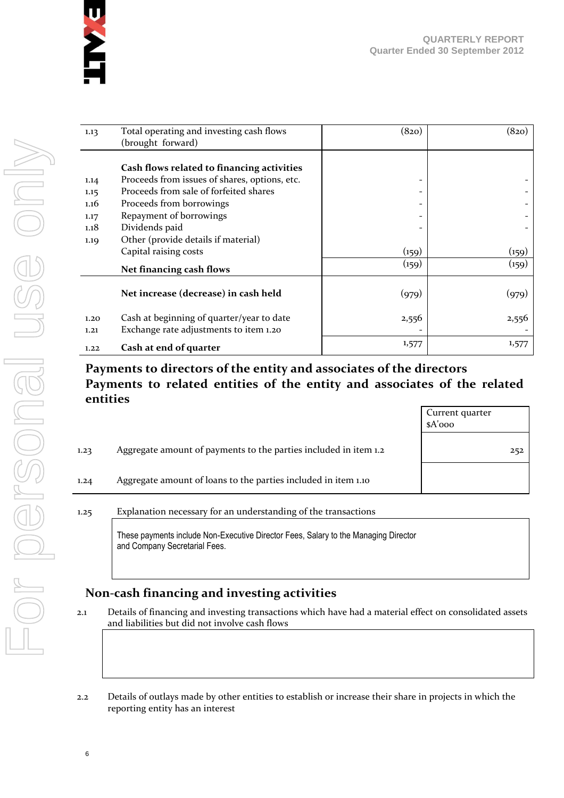

| 1.13 | Total operating and investing cash flows<br>(brought forward) | (820)                    | (820) |
|------|---------------------------------------------------------------|--------------------------|-------|
|      |                                                               |                          |       |
|      | Cash flows related to financing activities                    |                          |       |
| 1.14 | Proceeds from issues of shares, options, etc.                 | -                        |       |
| 1.15 | Proceeds from sale of forfeited shares                        |                          |       |
| 1.16 | Proceeds from borrowings                                      | $\overline{\phantom{a}}$ |       |
| 1.17 | Repayment of borrowings                                       | -                        |       |
| 1.18 | Dividends paid                                                |                          |       |
| 1.19 | Other (provide details if material)                           |                          |       |
|      | Capital raising costs                                         | (159)                    | (159) |
|      | Net financing cash flows                                      | (159)                    | (159) |
|      | Net increase (decrease) in cash held                          | (979)                    | (979) |
| 1.20 | Cash at beginning of quarter/year to date                     | 2,556                    | 2,556 |
| 1.21 | Exchange rate adjustments to item 1.20                        |                          |       |
| 1.22 | Cash at end of quarter                                        | 1,577                    | 1,577 |

#### **Payments to directors of the entity and associates of the directors Payments to related entities of the entity and associates of the related entities**

|      |                                                                  | Current quarter<br>$A'$ ooo |     |
|------|------------------------------------------------------------------|-----------------------------|-----|
| 1.23 | Aggregate amount of payments to the parties included in item 1.2 |                             | 252 |
| 1.24 | Aggregate amount of loans to the parties included in item 1.10   |                             |     |
|      |                                                                  |                             |     |

#### 1.25 Explanation necessary for an understanding of the transactions

These payments include Non-Executive Director Fees, Salary to the Managing Director and Company Secretarial Fees.

#### **Non-cash financing and investing activities**

- 2.1 Details of financing and investing transactions which have had a material effect on consolidated assets and liabilities but did not involve cash flows
- 2.2 Details of outlays made by other entities to establish or increase their share in projects in which the reporting entity has an interest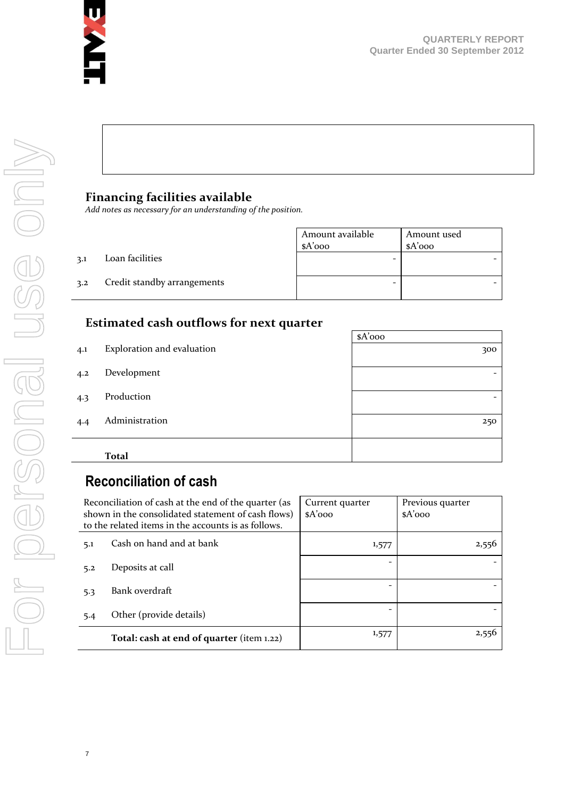

### **Financing facilities available**

*Add notes as necessary for an understanding of the position.*

|     |                             | Amount available<br>$A'$ 000 | Amount used<br>$A'$ 000 |
|-----|-----------------------------|------------------------------|-------------------------|
| 3.1 | Loan facilities             |                              |                         |
| 3.2 | Credit standby arrangements |                              |                         |

#### **Estimated cash outflows for next quarter**

|     |                            | $A'$ 000 |
|-----|----------------------------|----------|
| 4.1 | Exploration and evaluation | 300      |
| 4.2 | Development                |          |
| 4.3 | Production                 |          |
| 4.4 | Administration             | 250      |
|     | <b>Total</b>               |          |
|     |                            |          |

## **Reconciliation of cash**

| Reconciliation of cash at the end of the quarter (as<br>shown in the consolidated statement of cash flows)<br>to the related items in the accounts is as follows. |                                           | Current quarter<br>$A'$ 000 | Previous quarter<br>$A'$ 000 |
|-------------------------------------------------------------------------------------------------------------------------------------------------------------------|-------------------------------------------|-----------------------------|------------------------------|
| 5.1                                                                                                                                                               | Cash on hand and at bank                  | 1,577                       | 2,556                        |
| 5.2                                                                                                                                                               | Deposits at call                          |                             |                              |
| 5.3                                                                                                                                                               | Bank overdraft                            |                             |                              |
| 5.4                                                                                                                                                               | Other (provide details)                   |                             |                              |
|                                                                                                                                                                   | Total: cash at end of quarter (item 1.22) | 1,577                       | 2,556                        |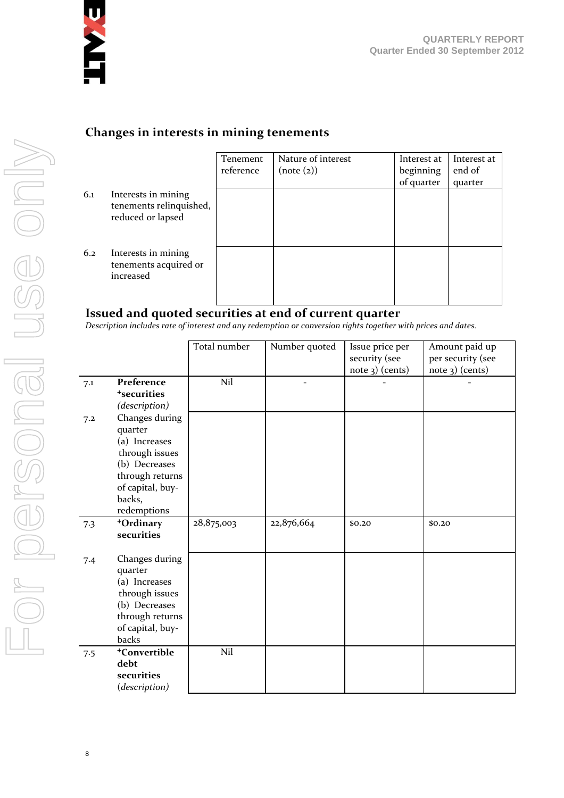

#### **Changes in interests in mining tenements**

|     |                                                                     | Tenement  | Nature of interest | Interest at | Interest at |
|-----|---------------------------------------------------------------------|-----------|--------------------|-------------|-------------|
|     |                                                                     | reference | (note (2))         | beginning   | end of      |
|     |                                                                     |           |                    | of quarter  | quarter     |
| 6.1 | Interests in mining<br>tenements relinquished,<br>reduced or lapsed |           |                    |             |             |
| 6.2 | Interests in mining<br>tenements acquired or<br>increased           |           |                    |             |             |

#### **Issued and quoted securities at end of current quarter**

*Description includes rate of interest and any redemption or conversion rights together with prices and dates.*

|     |                                                                                                                                               | Total number | Number quoted            | Issue price per<br>security (see<br>note 3) (cents) | Amount paid up<br>per security (see<br>note 3) (cents) |
|-----|-----------------------------------------------------------------------------------------------------------------------------------------------|--------------|--------------------------|-----------------------------------------------------|--------------------------------------------------------|
| 7.1 | Preference<br><sup>+</sup> securities<br>(description)                                                                                        | Nil          | $\overline{\phantom{a}}$ |                                                     |                                                        |
| 7.2 | Changes during<br>quarter<br>(a) Increases<br>through issues<br>(b) Decreases<br>through returns<br>of capital, buy-<br>backs,<br>redemptions |              |                          |                                                     |                                                        |
| 7.3 | +Ordinary<br>securities                                                                                                                       | 28,875,003   | 22,876,664               | \$0.20                                              | \$0.20                                                 |
| 7.4 | Changes during<br>quarter<br>(a) Increases<br>through issues<br>(b) Decreases<br>through returns<br>of capital, buy-<br>backs                 |              |                          |                                                     |                                                        |
| 7.5 | <sup>+</sup> Convertible<br>debt<br>securities<br>(description)                                                                               | Nil          |                          |                                                     |                                                        |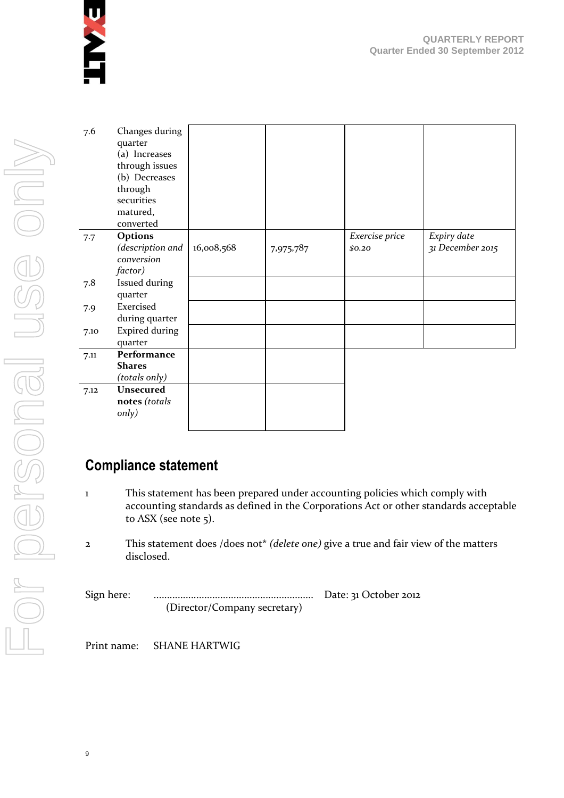

| 7.6  | Changes during<br>quarter<br>(a) Increases<br>through issues<br>(b) Decreases<br>through<br>securities<br>matured,<br>converted |            |           |                          |                                 |
|------|---------------------------------------------------------------------------------------------------------------------------------|------------|-----------|--------------------------|---------------------------------|
| 7.7  | Options<br>(description and<br>conversion<br>factor)                                                                            | 16,008,568 | 7,975,787 | Exercise price<br>\$0,20 | Expiry date<br>31 December 2015 |
| 7.8  | Issued during<br>quarter                                                                                                        |            |           |                          |                                 |
| 7.9  | Exercised<br>during quarter                                                                                                     |            |           |                          |                                 |
| 7.10 | <b>Expired during</b><br>quarter                                                                                                |            |           |                          |                                 |
| 7.11 | Performance<br><b>Shares</b><br>(totals only)                                                                                   |            |           |                          |                                 |
| 7.12 | <b>Unsecured</b><br>notes (totals<br>only)                                                                                      |            |           |                          |                                 |

## **Compliance statement**

- 1 This statement has been prepared under accounting policies which comply with accounting standards as defined in the Corporations Act or other standards acceptable to ASX (see note 5).
- 2 This statement does /does not\* *(delete one)* give a true and fair view of the matters disclosed.

Sign here: ............................................................ Date: 31 October 2012 (Director/Company secretary)

Print name: SHANE HARTWIG